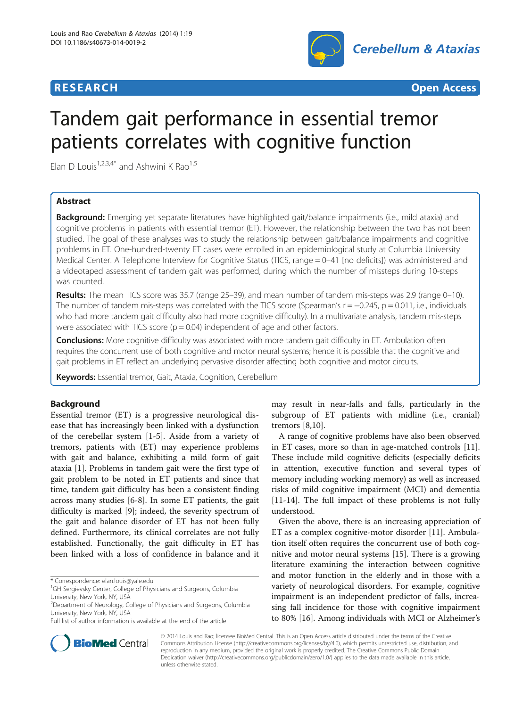# **RESEARCH CHEAR CHEAR CHEAR CHEAR CHEAR CHEAR CHEAR CHEAR CHEAR CHEAR CHEAR CHEAR CHEAR CHEAR CHEAR CHEAR CHEAR**



# Tandem gait performance in essential tremor patients correlates with cognitive function

Elan D Louis<sup>1,2,3,4\*</sup> and Ashwini K Rao<sup>1,5</sup>

# Abstract

Background: Emerging yet separate literatures have highlighted gait/balance impairments (i.e., mild ataxia) and cognitive problems in patients with essential tremor (ET). However, the relationship between the two has not been studied. The goal of these analyses was to study the relationship between gait/balance impairments and cognitive problems in ET. One-hundred-twenty ET cases were enrolled in an epidemiological study at Columbia University Medical Center. A Telephone Interview for Cognitive Status (TICS, range = 0–41 [no deficits]) was administered and a videotaped assessment of tandem gait was performed, during which the number of missteps during 10-steps was counted.

Results: The mean TICS score was 35.7 (range 25-39), and mean number of tandem mis-steps was 2.9 (range 0-10). The number of tandem mis-steps was correlated with the TICS score (Spearman's  $r = -0.245$ ,  $p = 0.011$ , i.e., individuals who had more tandem gait difficulty also had more cognitive difficulty). In a multivariate analysis, tandem mis-steps were associated with TICS score ( $p = 0.04$ ) independent of age and other factors.

Conclusions: More cognitive difficulty was associated with more tandem gait difficulty in ET. Ambulation often requires the concurrent use of both cognitive and motor neural systems; hence it is possible that the cognitive and gait problems in ET reflect an underlying pervasive disorder affecting both cognitive and motor circuits.

Keywords: Essential tremor, Gait, Ataxia, Cognition, Cerebellum

# Background

Essential tremor (ET) is a progressive neurological disease that has increasingly been linked with a dysfunction of the cerebellar system [[1-5\]](#page-4-0). Aside from a variety of tremors, patients with (ET) may experience problems with gait and balance, exhibiting a mild form of gait ataxia [[1\]](#page-4-0). Problems in tandem gait were the first type of gait problem to be noted in ET patients and since that time, tandem gait difficulty has been a consistent finding across many studies [\[6](#page-4-0)-[8\]](#page-4-0). In some ET patients, the gait difficulty is marked [\[9](#page-4-0)]; indeed, the severity spectrum of the gait and balance disorder of ET has not been fully defined. Furthermore, its clinical correlates are not fully established. Functionally, the gait difficulty in ET has been linked with a loss of confidence in balance and it

\* Correspondence: [elan.louis@yale.edu](mailto:elan.louis@yale.edu) <sup>1</sup>

Full list of author information is available at the end of the article

may result in near-falls and falls, particularly in the subgroup of ET patients with midline (i.e., cranial) tremors [[8,10\]](#page-4-0).

A range of cognitive problems have also been observed in ET cases, more so than in age-matched controls [\[11](#page-4-0)]. These include mild cognitive deficits (especially deficits in attention, executive function and several types of memory including working memory) as well as increased risks of mild cognitive impairment (MCI) and dementia [[11-14](#page-4-0)]. The full impact of these problems is not fully understood.

Given the above, there is an increasing appreciation of ET as a complex cognitive-motor disorder [\[11](#page-4-0)]. Ambulation itself often requires the concurrent use of both cognitive and motor neural systems [\[15](#page-4-0)]. There is a growing literature examining the interaction between cognitive and motor function in the elderly and in those with a variety of neurological disorders. For example, cognitive impairment is an independent predictor of falls, increasing fall incidence for those with cognitive impairment to 80% [[16](#page-4-0)]. Among individuals with MCI or Alzheimer's



© 2014 Louis and Rao; licensee BioMed Central. This is an Open Access article distributed under the terms of the Creative Commons Attribution License [\(http://creativecommons.org/licenses/by/4.0\)](http://creativecommons.org/licenses/by/4.0), which permits unrestricted use, distribution, and reproduction in any medium, provided the original work is properly credited. The Creative Commons Public Domain Dedication waiver [\(http://creativecommons.org/publicdomain/zero/1.0/](http://creativecommons.org/publicdomain/zero/1.0/)) applies to the data made available in this article, unless otherwise stated.

<sup>&</sup>lt;sup>1</sup>GH Sergievsky Center, College of Physicians and Surgeons, Columbia University, New York, NY, USA

<sup>2</sup> Department of Neurology, College of Physicians and Surgeons, Columbia University, New York, NY, USA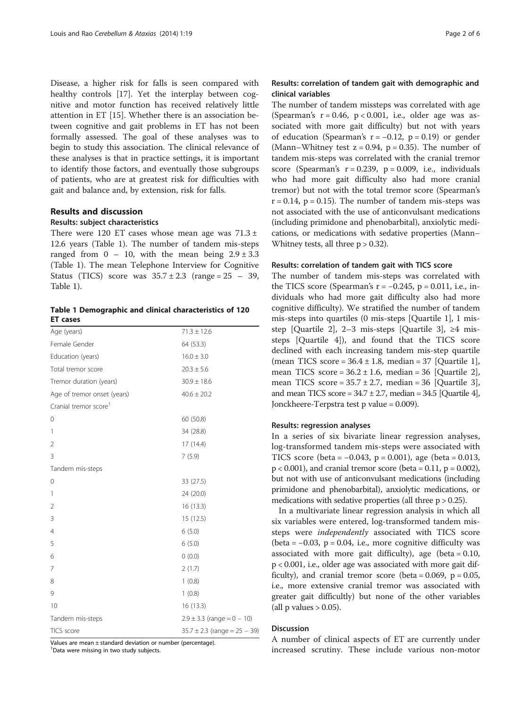Disease, a higher risk for falls is seen compared with healthy controls [[17\]](#page-4-0). Yet the interplay between cognitive and motor function has received relatively little attention in ET [[15\]](#page-4-0). Whether there is an association between cognitive and gait problems in ET has not been formally assessed. The goal of these analyses was to begin to study this association. The clinical relevance of these analyses is that in practice settings, it is important to identify those factors, and eventually those subgroups of patients, who are at greatest risk for difficulties with gait and balance and, by extension, risk for falls.

## Results and discussion

## Results: subject characteristics

There were 120 ET cases whose mean age was  $71.3 \pm 1.5$ 12.6 years (Table 1). The number of tandem mis-steps ranged from  $0 - 10$ , with the mean being  $2.9 \pm 3.3$ (Table 1). The mean Telephone Interview for Cognitive Status (TICS) score was  $35.7 \pm 2.3$  (range =  $25 - 39$ , Table 1).

Table 1 Demographic and clinical characteristics of 120 ET cases

| Age (years)                       | $71.3 \pm 12.6$                  |
|-----------------------------------|----------------------------------|
| Female Gender                     | 64 (53.3)                        |
| Education (years)                 | $16.0 \pm 3.0$                   |
| Total tremor score                | $20.3 \pm 5.6$                   |
| Tremor duration (years)           | $30.9 \pm 18.6$                  |
| Age of tremor onset (years)       | $40.6 \pm 20.2$                  |
| Cranial tremor score <sup>1</sup> |                                  |
| $\mathbf 0$                       | 60 (50.8)                        |
| 1                                 | 34 (28.8)                        |
| $\overline{2}$                    | 17 (14.4)                        |
| 3                                 | 7(5.9)                           |
| Tandem mis-steps                  |                                  |
| $\mathbf 0$                       | 33 (27.5)                        |
| 1                                 | 24 (20.0)                        |
| $\overline{2}$                    | 16(13.3)                         |
| 3                                 | 15(12.5)                         |
| $\overline{4}$                    | 6(5.0)                           |
| 5                                 | 6(5.0)                           |
| 6                                 | (0.0)                            |
| 7                                 | 2(1.7)                           |
| 8                                 | 1(0.8)                           |
| 9                                 | 1(0.8)                           |
| 10                                | 16(13.3)                         |
| Tandem mis-steps                  | $2.9 \pm 3.3$ (range = 0 - 10)   |
| <b>TICS</b> score                 | $35.7 \pm 2.3$ (range = 25 - 39) |

Values are mean ± standard deviation or number (percentage).

<sup>1</sup>Data were missing in two study subjects.

# Results: correlation of tandem gait with demographic and clinical variables

The number of tandem missteps was correlated with age (Spearman's  $r = 0.46$ ,  $p < 0.001$ , i.e., older age was associated with more gait difficulty) but not with years of education (Spearman's  $r = -0.12$ ,  $p = 0.19$ ) or gender (Mann–Whitney test  $z = 0.94$ ,  $p = 0.35$ ). The number of tandem mis-steps was correlated with the cranial tremor score (Spearman's  $r = 0.239$ ,  $p = 0.009$ , i.e., individuals who had more gait difficulty also had more cranial tremor) but not with the total tremor score (Spearman's  $r = 0.14$ ,  $p = 0.15$ ). The number of tandem mis-steps was not associated with the use of anticonvulsant medications (including primidone and phenobarbital), anxiolytic medications, or medications with sedative properties (Mann– Whitney tests, all three  $p > 0.32$ ).

# Results: correlation of tandem gait with TICS score

The number of tandem mis-steps was correlated with the TICS score (Spearman's  $r = -0.245$ ,  $p = 0.011$ , i.e., individuals who had more gait difficulty also had more cognitive difficulty). We stratified the number of tandem mis-steps into quartiles (0 mis-steps [Quartile 1], 1 misstep [Quartile 2], 2–3 mis-steps [Quartile 3], ≥4 missteps [Quartile 4]), and found that the TICS score declined with each increasing tandem mis-step quartile (mean TICS score =  $36.4 \pm 1.8$ , median =  $37$  [Quartile 1], mean TICS score =  $36.2 \pm 1.6$ , median =  $36$  [Quartile 2], mean TICS score =  $35.7 \pm 2.7$ , median =  $36$  [Quartile 3], and mean TICS score =  $34.7 \pm 2.7$ , median =  $34.5$  [Ouartile 4], Jonckheere-Terpstra test p value = 0.009).

#### Results: regression analyses

In a series of six bivariate linear regression analyses, log-transformed tandem mis-steps were associated with TICS score (beta =  $-0.043$ , p = 0.001), age (beta = 0.013,  $p < 0.001$ ), and cranial tremor score (beta = 0.11,  $p = 0.002$ ), but not with use of anticonvulsant medications (including primidone and phenobarbital), anxiolytic medications, or medications with sedative properties (all three  $p > 0.25$ ).

In a multivariate linear regression analysis in which all six variables were entered, log-transformed tandem missteps were independently associated with TICS score (beta =  $-0.03$ , p = 0.04, i.e., more cognitive difficulty was associated with more gait difficulty), age (beta =  $0.10$ , p < 0.001, i.e., older age was associated with more gait difficulty), and cranial tremor score (beta =  $0.069$ , p =  $0.05$ , i.e., more extensive cranial tremor was associated with greater gait difficultly) but none of the other variables (all  $p$  values  $> 0.05$ ).

# Discussion

A number of clinical aspects of ET are currently under increased scrutiny. These include various non-motor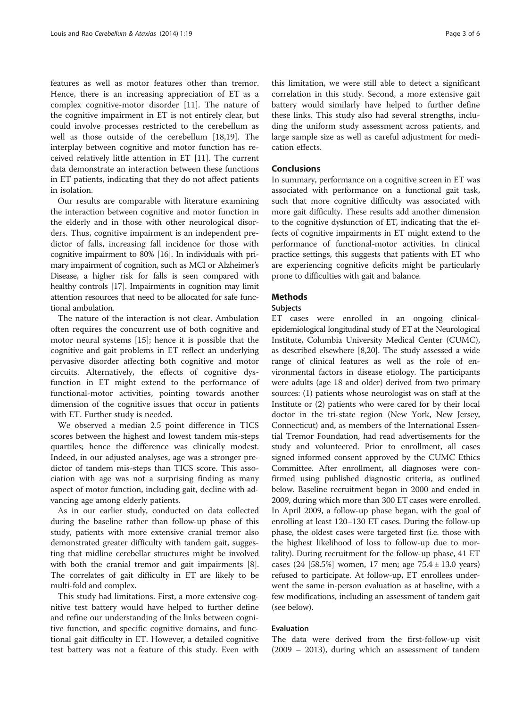features as well as motor features other than tremor. Hence, there is an increasing appreciation of ET as a complex cognitive-motor disorder [\[11](#page-4-0)]. The nature of the cognitive impairment in ET is not entirely clear, but could involve processes restricted to the cerebellum as well as those outside of the cerebellum [[18](#page-4-0),[19](#page-4-0)]. The interplay between cognitive and motor function has received relatively little attention in ET [\[11\]](#page-4-0). The current data demonstrate an interaction between these functions in ET patients, indicating that they do not affect patients in isolation.

Our results are comparable with literature examining the interaction between cognitive and motor function in the elderly and in those with other neurological disorders. Thus, cognitive impairment is an independent predictor of falls, increasing fall incidence for those with cognitive impairment to 80% [\[16\]](#page-4-0). In individuals with primary impairment of cognition, such as MCI or Alzheimer's Disease, a higher risk for falls is seen compared with healthy controls [[17](#page-4-0)]. Impairments in cognition may limit attention resources that need to be allocated for safe functional ambulation.

The nature of the interaction is not clear. Ambulation often requires the concurrent use of both cognitive and motor neural systems [\[15](#page-4-0)]; hence it is possible that the cognitive and gait problems in ET reflect an underlying pervasive disorder affecting both cognitive and motor circuits. Alternatively, the effects of cognitive dysfunction in ET might extend to the performance of functional-motor activities, pointing towards another dimension of the cognitive issues that occur in patients with ET. Further study is needed.

We observed a median 2.5 point difference in TICS scores between the highest and lowest tandem mis-steps quartiles; hence the difference was clinically modest. Indeed, in our adjusted analyses, age was a stronger predictor of tandem mis-steps than TICS score. This association with age was not a surprising finding as many aspect of motor function, including gait, decline with advancing age among elderly patients.

As in our earlier study, conducted on data collected during the baseline rather than follow-up phase of this study, patients with more extensive cranial tremor also demonstrated greater difficulty with tandem gait, suggesting that midline cerebellar structures might be involved with both the cranial tremor and gait impairments [[8](#page-4-0)]. The correlates of gait difficulty in ET are likely to be multi-fold and complex.

This study had limitations. First, a more extensive cognitive test battery would have helped to further define and refine our understanding of the links between cognitive function, and specific cognitive domains, and functional gait difficulty in ET. However, a detailed cognitive test battery was not a feature of this study. Even with

this limitation, we were still able to detect a significant correlation in this study. Second, a more extensive gait battery would similarly have helped to further define these links. This study also had several strengths, including the uniform study assessment across patients, and large sample size as well as careful adjustment for medication effects.

### Conclusions

In summary, performance on a cognitive screen in ET was associated with performance on a functional gait task, such that more cognitive difficulty was associated with more gait difficulty. These results add another dimension to the cognitive dysfunction of ET, indicating that the effects of cognitive impairments in ET might extend to the performance of functional-motor activities. In clinical practice settings, this suggests that patients with ET who are experiencing cognitive deficits might be particularly prone to difficulties with gait and balance.

#### Methods

#### Subjects

ET cases were enrolled in an ongoing clinicalepidemiological longitudinal study of ET at the Neurological Institute, Columbia University Medical Center (CUMC), as described elsewhere [\[8,20\]](#page-4-0). The study assessed a wide range of clinical features as well as the role of environmental factors in disease etiology. The participants were adults (age 18 and older) derived from two primary sources: (1) patients whose neurologist was on staff at the Institute or (2) patients who were cared for by their local doctor in the tri-state region (New York, New Jersey, Connecticut) and, as members of the International Essential Tremor Foundation, had read advertisements for the study and volunteered. Prior to enrollment, all cases signed informed consent approved by the CUMC Ethics Committee. After enrollment, all diagnoses were confirmed using published diagnostic criteria, as outlined below. Baseline recruitment began in 2000 and ended in 2009, during which more than 300 ET cases were enrolled. In April 2009, a follow-up phase began, with the goal of enrolling at least 120–130 ET cases. During the follow-up phase, the oldest cases were targeted first (i.e. those with the highest likelihood of loss to follow-up due to mortality). During recruitment for the follow-up phase, 41 ET cases (24 [58.5%] women, 17 men; age 75.4 ± 13.0 years) refused to participate. At follow-up, ET enrollees underwent the same in-person evaluation as at baseline, with a few modifications, including an assessment of tandem gait (see below).

#### Evaluation

The data were derived from the first-follow-up visit (2009 – 2013), during which an assessment of tandem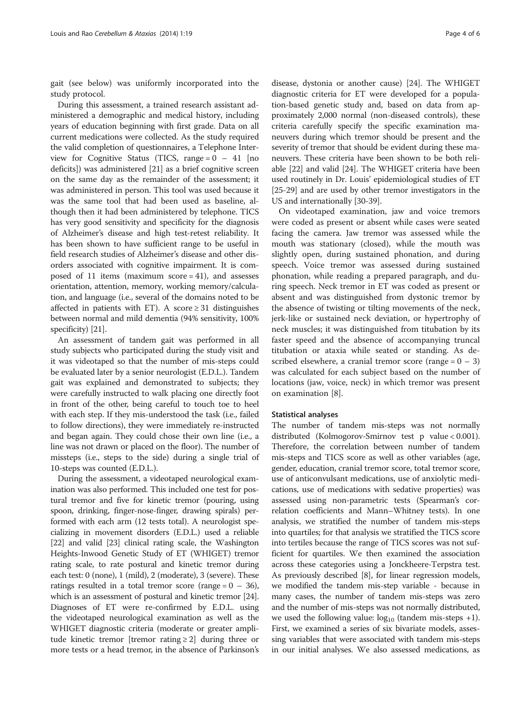gait (see below) was uniformly incorporated into the study protocol.

During this assessment, a trained research assistant administered a demographic and medical history, including years of education beginning with first grade. Data on all current medications were collected. As the study required the valid completion of questionnaires, a Telephone Interview for Cognitive Status (TICS, range =  $0 - 41$  [no deficits]) was administered [\[21\]](#page-4-0) as a brief cognitive screen on the same day as the remainder of the assessment; it was administered in person. This tool was used because it was the same tool that had been used as baseline, although then it had been administered by telephone. TICS has very good sensitivity and specificity for the diagnosis of Alzheimer's disease and high test-retest reliability. It has been shown to have sufficient range to be useful in field research studies of Alzheimer's disease and other disorders associated with cognitive impairment. It is composed of 11 items (maximum score  $=$  41), and assesses orientation, attention, memory, working memory/calculation, and language (i.e., several of the domains noted to be affected in patients with ET). A score  $\geq$  31 distinguishes between normal and mild dementia (94% sensitivity, 100% specificity) [[21\]](#page-4-0).

An assessment of tandem gait was performed in all study subjects who participated during the study visit and it was videotaped so that the number of mis-steps could be evaluated later by a senior neurologist (E.D.L.). Tandem gait was explained and demonstrated to subjects; they were carefully instructed to walk placing one directly foot in front of the other, being careful to touch toe to heel with each step. If they mis-understood the task (i.e., failed to follow directions), they were immediately re-instructed and began again. They could chose their own line (i.e., a line was not drawn or placed on the floor). The number of missteps (i.e., steps to the side) during a single trial of 10-steps was counted (E.D.L.).

During the assessment, a videotaped neurological examination was also performed. This included one test for postural tremor and five for kinetic tremor (pouring, using spoon, drinking, finger-nose-finger, drawing spirals) performed with each arm (12 tests total). A neurologist specializing in movement disorders (E.D.L.) used a reliable [[22](#page-4-0)] and valid [\[23\]](#page-4-0) clinical rating scale, the Washington Heights-Inwood Genetic Study of ET (WHIGET) tremor rating scale, to rate postural and kinetic tremor during each test: 0 (none), 1 (mild), 2 (moderate), 3 (severe). These ratings resulted in a total tremor score (range  $= 0 - 36$ ), which is an assessment of postural and kinetic tremor [\[24](#page-4-0)]. Diagnoses of ET were re-confirmed by E.D.L. using the videotaped neurological examination as well as the WHIGET diagnostic criteria (moderate or greater amplitude kinetic tremor [tremor rating  $\geq$  2] during three or more tests or a head tremor, in the absence of Parkinson's disease, dystonia or another cause) [\[24\]](#page-4-0). The WHIGET diagnostic criteria for ET were developed for a population-based genetic study and, based on data from approximately 2,000 normal (non-diseased controls), these criteria carefully specify the specific examination maneuvers during which tremor should be present and the severity of tremor that should be evident during these maneuvers. These criteria have been shown to be both reliable [\[22](#page-4-0)] and valid [\[24\]](#page-4-0). The WHIGET criteria have been used routinely in Dr. Louis' epidemiological studies of ET [[25](#page-4-0)-[29\]](#page-4-0) and are used by other tremor investigators in the US and internationally [\[30](#page-4-0)[-39](#page-5-0)].

On videotaped examination, jaw and voice tremors were coded as present or absent while cases were seated facing the camera. Jaw tremor was assessed while the mouth was stationary (closed), while the mouth was slightly open, during sustained phonation, and during speech. Voice tremor was assessed during sustained phonation, while reading a prepared paragraph, and during speech. Neck tremor in ET was coded as present or absent and was distinguished from dystonic tremor by the absence of twisting or tilting movements of the neck, jerk-like or sustained neck deviation, or hypertrophy of neck muscles; it was distinguished from titubation by its faster speed and the absence of accompanying truncal titubation or ataxia while seated or standing. As described elsewhere, a cranial tremor score (range  $= 0 - 3$ ) was calculated for each subject based on the number of locations (jaw, voice, neck) in which tremor was present on examination [[8\]](#page-4-0).

# Statistical analyses

The number of tandem mis-steps was not normally distributed (Kolmogorov-Smirnov test p value < 0.001). Therefore, the correlation between number of tandem mis-steps and TICS score as well as other variables (age, gender, education, cranial tremor score, total tremor score, use of anticonvulsant medications, use of anxiolytic medications, use of medications with sedative properties) was assessed using non-parametric tests (Spearman's correlation coefficients and Mann–Whitney tests). In one analysis, we stratified the number of tandem mis-steps into quartiles; for that analysis we stratified the TICS score into tertiles because the range of TICS scores was not sufficient for quartiles. We then examined the association across these categories using a Jonckheere-Terpstra test. As previously described [\[8](#page-4-0)], for linear regression models, we modified the tandem mis-step variable - because in many cases, the number of tandem mis-steps was zero and the number of mis-steps was not normally distributed, we used the following value:  $log_{10}$  (tandem mis-steps +1). First, we examined a series of six bivariate models, assessing variables that were associated with tandem mis-steps in our initial analyses. We also assessed medications, as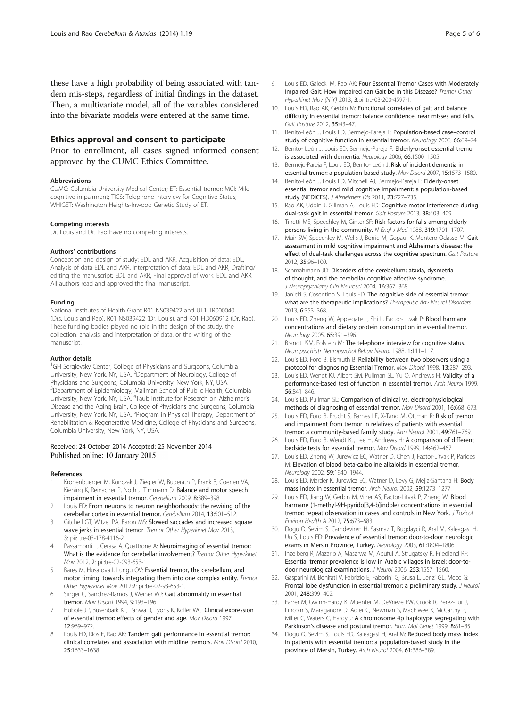<span id="page-4-0"></span>these have a high probability of being associated with tandem mis-steps, regardless of initial findings in the dataset. Then, a multivariate model, all of the variables considered into the bivariate models were entered at the same time.

#### Ethics approval and consent to participate

Prior to enrollment, all cases signed informed consent approved by the CUMC Ethics Committee.

#### Abbreviations

CUMC: Columbia University Medical Center; ET: Essential tremor; MCI: Mild cognitive impairment; TICS: Telephone Interview for Cognitive Status; WHIGET: Washington Heights-Inwood Genetic Study of ET.

#### Competing interests

Dr. Louis and Dr. Rao have no competing interests.

#### Authors' contributions

Conception and design of study: EDL and AKR, Acquisition of data: EDL, Analysis of data EDL and AKR, Interpretation of data: EDL and AKR, Drafting/ editing the manuscript: EDL and AKR, Final approval of work: EDL and AKR. All authors read and approved the final manuscript.

#### Funding

National Institutes of Health Grant R01 NS039422 and UL1 TR000040 (Drs. Louis and Rao), R01 NS039422 (Dr. Louis), and K01 HD060912 (Dr. Rao). These funding bodies played no role in the design of the study, the collection, analysis, and interpretation of data, or the writing of the manuscript.

#### Author details

<sup>1</sup>GH Sergievsky Center, College of Physicians and Surgeons, Columbia University, New York, NY, USA. <sup>2</sup>Department of Neurology, College of Physicians and Surgeons, Columbia University, New York, NY, USA. <sup>3</sup>Department of Epidemiology, Mailman School of Public Health, Columbia University, New York, NY, USA. <sup>4</sup>Taub Institute for Research on Alzheimer's Disease and the Aging Brain, College of Physicians and Surgeons, Columbia University, New York, NY, USA. <sup>5</sup>Program in Physical Therapy, Department of Rehabilitation & Regenerative Medicine, College of Physicians and Surgeons, Columbia University, New York, NY, USA.

#### Received: 24 October 2014 Accepted: 25 November 2014 Published online: 10 January 2015

#### References

- 1. Kronenbuerger M, Konczak J, Ziegler W, Buderath P, Frank B, Coenen VA, Kiening K, Reinacher P, Noth J, Timmann D: Balance and motor speech impairment in essential tremor. Cerebellum 2009, 8:389–398.
- 2. Louis ED: From neurons to neuron neighborhoods: the rewiring of the cerebellar cortex in essential tremor. Cerebellum 2014, 13:501–512.
- 3. Gitchell GT, Witzel PA, Baron MS: Slowed saccades and increased square wave jerks in essential tremor. Tremor Other Hyperkinet Mov 2013, 3: pii: tre-03-178-4116-2.
- 4. Passamonti L, Cerasa A, Quattrone A: Neuroimaging of essential tremor: What is the evidence for cerebellar involvement? Tremor Other Hyperkinet Mov 2012, 2: pii:tre-02-093-653-1.
- Bares M, Husarova I, Lungu OV: Essential tremor, the cerebellum, and motor timing: towards integrating them into one complex entity. Tremor Other Hyperkinet Mov 2012;2: pii:tre-02-93-653-1.
- 6. Singer C, Sanchez-Ramos J, Weiner WJ: Gait abnormality in essential tremor. Mov Disord 1994, 9:193–196.
- 7. Hubble JP, Busenbark KL, Pahwa R, Lyons K, Koller WC: Clinical expression of essential tremor: effects of gender and age. Mov Disord 1997, 12:969–972.
- 8. Louis ED, Rios E, Rao AK: Tandem gait performance in essential tremor: clinical correlates and association with midline tremors. Mov Disord 2010, 25:1633–1638.
- Louis ED, Galecki M, Rao AK: Four Essential Tremor Cases with Moderately Impaired Gait: How Impaired can Gait be in this Disease? Tremor Other Hyperkinet Mov (N Y) 2013, 3:pii:tre-03-200-4597-1.
- 10. Louis ED, Rao AK, Gerbin M: Functional correlates of gait and balance difficulty in essential tremor: balance confidence, near misses and falls. Gait Posture 2012, 35:43–47.
- 11. Benito-León J, Louis ED, Bermejo-Pareja F: Population-based case–control study of cognitive function in essential tremor. Neurology 2006, 66:69–74.
- 12. Benito- León J, Louis ED, Bermejo-Pareja F: Elderly-onset essential tremor is associated with dementia. Neurology 2006, 66:1500–1505.
- 13. Bermejo-Pareja F, Louis ED, Benito- León J: Risk of incident dementia in essential tremor: a population-based study. Mov Disord 2007, 15:1573–1580.
- 14. Benito-León J, Louis ED, Mitchell AJ, Bermejo-Pareja F: Elderly-onset essential tremor and mild cognitive impairment: a population-based study (NEDICES). J Alzheimers Dis 2011, 23:727–735.
- 15. Rao AK, Uddin J, Gillman A, Louis ED: Cognitive motor interference during dual-task gait in essential tremor. Gait Posture 2013, 38:403–409.
- 16. Tinetti ME, Speechley M, Ginter SF: Risk factors for falls among elderly persons living in the community. N Engl J Med 1988, 319:1701-1707.
- 17. Muir SW, Speechley M, Wells J, Borrie M, Gopaul K, Montero-Odasso M: Gait assessment in mild cognitive impairment and Alzheimer's disease: the effect of dual-task challenges across the cognitive spectrum. Gait Posture 2012, 35:96–100.
- 18. Schmahmann JD: Disorders of the cerebellum: ataxia, dysmetria of thought, and the cerebellar cognitive affective syndrome. J Neuropsychiatry Clin Neurosci 2004, 16:367–368.
- 19. Janicki S, Cosentino S, Louis ED: The cognitive side of essential tremor: what are the therapeutic implications? Therapeutic Adv Neurol Disorders 2013, 6:353–368.
- 20. Louis ED, Zheng W, Applegate L, Shi L, Factor-Litvak P: Blood harmane concentrations and dietary protein consumption in essential tremor. Neurology 2005, 65:391–396.
- 21. Brandt JSM, Folstein M: The telephone interview for cognitive status. Neuropsychiatr Neuropsychol Behav Neurol 1988, 1:111–117.
- 22. Louis ED, Ford B, Bismuth B: Reliability between two observers using a protocol for diagnosing Essential Tremor. Mov Disord 1998, 13:287–293.
- 23. Louis ED, Wendt KJ, Albert SM, Pullman SL, Yu Q, Andrews H: Validity of a performance-based test of function in essential tremor. Arch Neurol 1999, 56:841–846.
- 24. Louis ED, Pullman SL: Comparison of clinical vs. electrophysiological methods of diagnosing of essential tremor. Mov Disord 2001, 16:668–673.
- 25. Louis ED, Ford B, Frucht S, Barnes LF, X-Tang M, Ottman R: Risk of tremor and impairment from tremor in relatives of patients with essential tremor: a community-based family study. Ann Neurol 2001, 49:761–769.
- 26. Louis ED, Ford B, Wendt KJ, Lee H, Andrews H: A comparison of different bedside tests for essential tremor. Mov Disord 1999, 14:462–467.
- 27. Louis ED, Zheng W, Jurewicz EC, Watner D, Chen J, Factor-Litvak P, Parides M: Elevation of blood beta-carboline alkaloids in essential tremor. Neurology 2002, 59:1940–1944.
- 28. Louis ED, Marder K, Jurewicz EC, Watner D, Levy G, Mejia-Santana H: Body mass index in essential tremor. Arch Neurol 2002, 59:1273–1277.
- 29. Louis ED, Jiang W, Gerbin M, Viner AS, Factor-Litvak P, Zheng W: Blood harmane (1-methyl-9H-pyrido[3,4-b]indole) concentrations in essential tremor: repeat observation in cases and controls in New York. J Toxicol Environ Health A 2012, 75:673–683.
- 30. Dogu O, Sevim S, Camdeviren H, Sasmaz T, Bugdayci R, Aral M, Kaleagasi H, Un S, Louis ED: Prevalence of essential tremor: door-to-door neurologic exams in Mersin Province, Turkey. Neurology 2003, 61:1804–1806.
- 31. Inzelberg R, Mazarib A, Masarwa M, Abuful A, Strugatsky R, Friedland RF: Essential tremor prevalence is low in Arabic villages in Israel: door-todoor neurological examinations. J Neurol 2006, 253:1557–1560.
- 32. Gasparini M, Bonifati V, Fabrizio E, Fabbrini G, Brusa L, Lenzi GL, Meco G: Frontal lobe dysfunction in essential tremor: a preliminary study. J Neurol 2001, 248:399–402.
- 33. Farrer M, Gwinn-Hardy K, Muenter M, DeVrieze FW, Crook R, Perez-Tur J, Lincoln S, Maraganore D, Adler C, Newman S, MacElwee K, McCarthy P, Miller C, Waters C, Hardy J: A chromosome 4p haplotype segregating with Parkinson's disease and postural tremor. Hum Mol Genet 1999, 8:81-85.
- 34. Dogu O, Sevim S, Louis ED, Kaleagasi H, Aral M: Reduced body mass index in patients with essential tremor: a population-based study in the province of Mersin, Turkey. Arch Neurol 2004, 61:386–389.